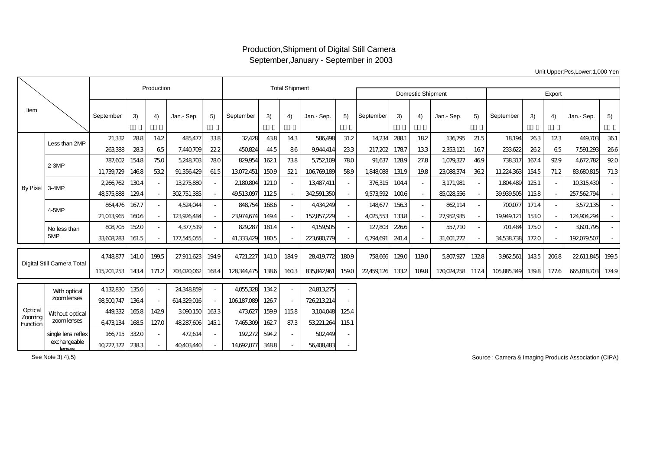## Production,Shipment of Digital Still Camera September,January - September in 2003

Unit Upper:Pcs,Lower:1,000 Yen

|                                |                            |             | Production |       | <b>Total Shipment</b> |                          |             |       |        |             |        |            |                          |        |            |        |             |       |       |                |        |
|--------------------------------|----------------------------|-------------|------------|-------|-----------------------|--------------------------|-------------|-------|--------|-------------|--------|------------|--------------------------|--------|------------|--------|-------------|-------|-------|----------------|--------|
|                                |                            |             |            |       |                       |                          |             |       |        |             |        |            | <b>Domestic Shipment</b> | Export |            |        |             |       |       |                |        |
| Item                           |                            | September   | 3)         | 4)    | Jan.- Sep.            | 5)                       | September   | 3)    | 4)     | Jan.- Sep.  | 5)     | September  | 3)                       | 4)     | Jan.- Sep. | 5)     | September   | 3)    | 4)    | Jan.- Sep.     | 5)     |
| By Pixel 3-4MP                 | Less than 2MP              | 21,332      | 288        | 142   | 485,477               | 338                      | 32,428      | 438   | 143    | 586498      | 31.2   | 14,234     | 288.1                    | 182    | 136795     | 21.5   | 18.194      | 263   | 123   | 449.703        | 361    |
|                                |                            | 263388      | 283        | 65    | 7,440,709             | 22.2                     | 450824      | 445   | 86     | 9944.414    | 233    | 217,202    | 1787                     | 133    | 2353121    | 167    | 233622      | 262   | 65    | 7,591,293      | 266    |
|                                | $2-3MP$                    | 787.602     | 1548       | 750   | 5,248,703             | 780                      | 829,954     | 162.1 | 738    | 5,752,109   | 780    | 91,637     | 1289                     | 27.8   | 1,079,327  | 469    | 738317      | 167.4 | 929   | 4672.782       | 920    |
|                                |                            | 11,739,729  | 1468       | 532   | 91.356429             | 61.5                     | 13072451    | 1509  | 521    | 106,769,189 | 589    | 1,848,088  | 131.9                    | 198    | 23088374   | 362    | 11,224,363  | 1545  | 71.2  | 83680815       | 71.3   |
|                                |                            | 2,266,762   | 1304       |       | 13275880              | $\overline{\phantom{a}}$ | 2,180,804   | 121.0 | $\sim$ | 13487,411   |        | 376315     | 1044                     | $\sim$ | 3171,981   | $\sim$ | 1,804,489   | 125.1 |       | 10315430       |        |
|                                |                            | 48575.888   | 129.4      |       | 302751,385            |                          | 49,513097   | 1125  |        | 342,591,350 |        | 9,573,592  | 1006                     | $\sim$ | 85028556   |        | 39,939,505  | 1158  |       | 257,562,794    |        |
|                                | 4-5MP                      | 864,476     | 167.7      |       | 4524044               | $\sim$                   | 848,754     | 1686  | $\sim$ | 4,434,249   | $\sim$ | 148677     | 1563                     | $\sim$ | 862,114    | $\sim$ | 700,077     | 171.4 |       | 3572135        | $\sim$ |
|                                |                            | 21,013965   | 1606       |       | 123926484             |                          | 23974674    | 149.4 | $\sim$ | 152,857,229 |        | 4025,553   | 1338                     | $\sim$ | 27.952.935 |        | 19949121    | 1530  |       | 124904294      |        |
|                                | No less than               | 808705      | 1520       |       | 4377,519              |                          | 829,287     | 181.4 | $\sim$ | 4159505     |        | 127,803    | 2266                     | $\sim$ | 557,710    |        | 701.484     | 1750  |       | 3601.795       |        |
|                                | 5MP                        | 33608283    | 161.5      |       | 177,545,055           |                          | 41,333,429  | 1805  |        | 223680779   |        | 6794691    | 241.4                    |        | 31,601,272 |        | 34538738    | 1720  |       | 192079.507     |        |
| Digital Still Camera Total     |                            | 4748877     | 141.0      | 1995  | 27,911,623            | 1949                     | 4,721,227   | 141.0 | 1849   | 28419,772   | 1809   | 758,666    | 1290                     | 1190   | 5,807,927  | 1328   | 3962561     | 1435  | 2068  | 22,611,845     | 199.5  |
|                                |                            | 115,201,253 | 1434       | 171.2 | 703020,062            | 1684                     | 128344475   | 1386  | 1603   | 835842961   | 159.0  | 22,459,126 | 1332                     | 1098   | 170024258  | 117.4  | 105,885,349 | 139.8 | 177.6 | 665818703 1749 |        |
| Optical<br>Zooming<br>Function | With optical<br>zoomlenses | 4,132,830   | 1356       |       | 24348859              |                          | 4055,328    | 1342  |        | 24813275    |        |            |                          |        |            |        |             |       |       |                |        |
|                                |                            | 98,500,747  | 1364       |       | 614329,016            |                          | 106,187,089 | 1267  |        | 726213214   |        |            |                          |        |            |        |             |       |       |                |        |
|                                | Without optical            | 449,332     | 1658       | 1429  | 3090150               | 1633                     | 473627      | 1599  | 1158   | 3104048     | 125.4  |            |                          |        |            |        |             |       |       |                |        |
|                                | zoomlenses                 | 6473134     | 1685       | 127.0 | 48287,606             | 1451                     | 7,465,309   | 1627  | 87.3   | 53221,264   | 115.1  |            |                          |        |            |        |             |       |       |                |        |
|                                | single lens reflex         | 166715      | 3320       |       | 472,614               |                          | 192,272     | 5942  | $\sim$ | 502449      |        |            |                          |        |            |        |             |       |       |                |        |
|                                | exchangeable<br>lenses     | 10227,372   | 2383       |       | 40403440              |                          | 14692077    | 3488  |        | 56408483    |        |            |                          |        |            |        |             |       |       |                |        |

Source : Camera & Imaging Products Association (CIPA)

See Note 3),4),5)